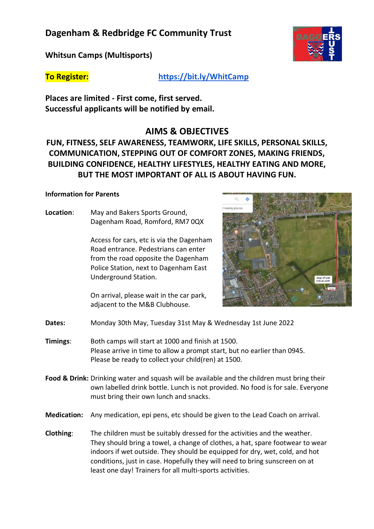## **Dagenham & Redbridge FC Community Trust**

**Whitsun Camps (Multisports)**

**To Register: <https://bit.ly/WhitCamp>**

**Places are limited - First come, first served. Successful applicants will be notified by email.**

### **AIMS & OBJECTIVES**

**FUN, FITNESS, SELF AWARENESS, TEAMWORK, LIFE SKILLS, PERSONAL SKILLS, COMMUNICATION, STEPPING OUT OF COMFORT ZONES, MAKING FRIENDS, BUILDING CONFIDENCE, HEALTHY LIFESTYLES, HEALTHY EATING AND MORE, BUT THE MOST IMPORTANT OF ALL IS ABOUT HAVING FUN.**

#### **Information for Parents**

**Location**: May and Bakers Sports Ground, Dagenham Road, Romford, RM7 0QX

> Access for cars, etc is via the Dagenham Road entrance. Pedestrians can enter from the road opposite the Dagenham Police Station, next to Dagenham East Underground Station.

On arrival, please wait in the car park, adjacent to the M&B Clubhouse.



- **Dates:** Monday 30th May, Tuesday 31st May & Wednesday 1st June 2022
- **Timings**: Both camps will start at 1000 and finish at 1500. Please arrive in time to allow a prompt start, but no earlier than 0945. Please be ready to collect your child(ren) at 1500.
- **Food & Drink:** Drinking water and squash will be available and the children must bring their own labelled drink bottle. Lunch is not provided. No food is for sale. Everyone must bring their own lunch and snacks.
- **Medication:** Any medication, epi pens, etc should be given to the Lead Coach on arrival.
- **Clothing**: The children must be suitably dressed for the activities and the weather. They should bring a towel, a change of clothes, a hat, spare footwear to wear indoors if wet outside. They should be equipped for dry, wet, cold, and hot conditions, just in case. Hopefully they will need to bring sunscreen on at least one day! Trainers for all multi-sports activities.